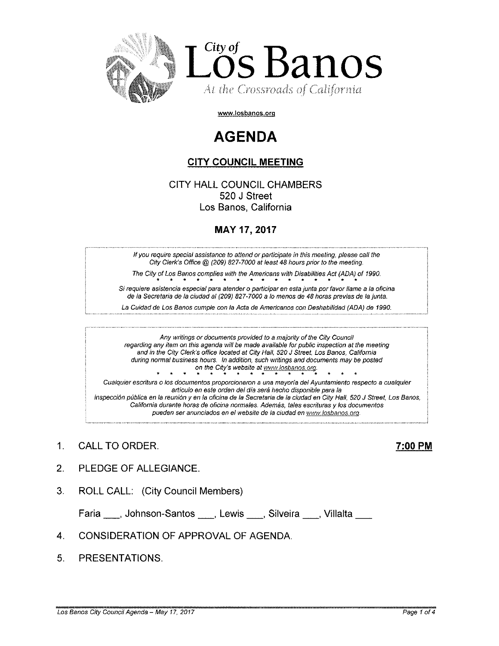

www.losbanos.org

# **AGENDA**

# CITY COUNCIL MEETING

CITY HALL COUNCIL CHAMBERS 520 J Street Los Banos, California

# MAY 17,2017

If you require special assistance to attend or participate in this meeting, please call the City Clerk's Office@ (209) 827-7000 at least 48 hours prior to the meeting.

The City of Los Banos complies with the Americans with Disabilities Act (ADA) of 1990.

Si requiere asistencia especial para alender o participar en esta junta por favor llame a la oficina de la Secretaria de la ciudad al (209) 827-7000 a lo menos de 48 horas previas de la junta.

La Cuidad de Los Banos cumple con la Acta de Americanos con Deshabilidad (ADA) de 1990.

Any writings or documents provided to a majority of the City Council regarding any item on this agenda will be made available for public inspection at the meeting and in the City Clerk's office located at City Half, *520* J Street, Los Banos, California during normal business hours. fn addition, such writings and documents may be posted \*\*\*\*\*\*\*\*\*\*\*\* \* on the City's website at www.losbanos.org. Cualquier escritura o los documentos proporcionaron a una mayoría del Ayuntamiento respecto a cualquier articulo en este orden del día será hecho disponible para la

inspecci6n publica en fa reunion y en la oficina de fa Secretaria de fa ciudad en City Hall, *520* J Street, Los Banos, California durante horas de oficina normales. Además, tales escrituras y los documentos pueden ser anunciados en el website de la ciudad en www.losbanos.org.

1. CALL TO ORDER. 200 PM

- 2. PLEDGE OF ALLEGIANCE.
- 3. ROLL CALL: (City Council Members)

Faria \_\_, Johnson-Santos \_\_, Lewis \_\_, Silveira \_\_, Villalta

### 4. CONSIDERATION OF APPROVAL OF AGENDA

5. PRESENTATIONS.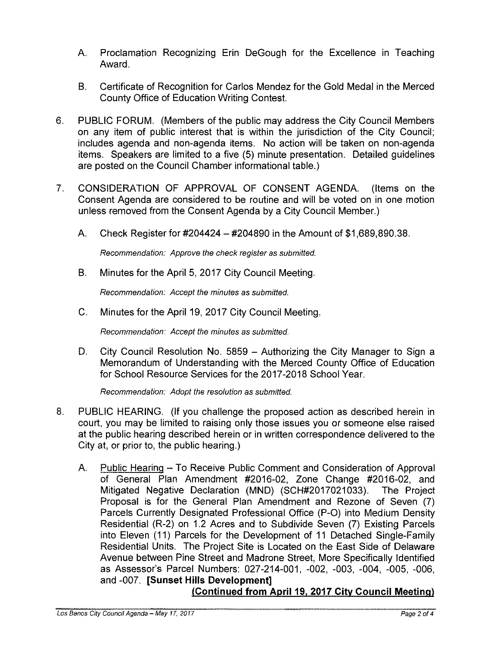- A. Proclamation Recognizing Erin DeGough for the Excellence in Teaching Award.
- B. Certificate of Recognition for Carlos Mendez for the Gold Medal in the Merced County Office of Education Writing Contest.
- 6. PUBLIC FORUM. (Members of the public may address the City Council Members on any item of public interest that is within the jurisdiction of the City Council; includes agenda and non-agenda items. No action will be taken on non-agenda items. Speakers are limited to a five (5) minute presentation. Detailed guidelines are posted on the Council Chamber informational table.)
- 7. CONSIDERATION OF APPROVAL OF CONSENT AGENDA. (Items on the Consent Agenda are considered to be routine and will be voted on in one motion unless removed from the Consent Agenda by a City Council Member.)
	- A. Check Register for #204424 #204890 in the Amount of \$1 ,689,890.38.

Recommendation: Approve the check register as submitted.

B. Minutes for the April 5, 2017 City Council Meeting.

Recommendation: Accept the minutes as submitted.

C. Minutes for the April 19, 2017 City Council Meeting.

Recommendation: Accept the minutes as submitted.

D. City Council Resolution No. 5859 – Authorizing the City Manager to Sign a Memorandum of Understanding with the Merced County Office of Education for School Resource Services for the 2017-2018 School Year.

Recommendation: Adopt the resolution as submitted.

- 8. PUBLIC HEARING. (If you challenge the proposed action as described herein in court, you may be limited to raising only those issues you or someone else raised at the public hearing described herein or in written correspondence delivered to the City at, or prior to, the public hearing.)
	- A. Public Hearing To Receive Public Comment and Consideration of Approval of General Plan Amendment #2016-02, Zone Change #2016-02, and Mitigated Negative Declaration (MND) (SCH#2017021033). The Project Proposal is for the General Plan Amendment and Rezone of Seven (7) Parcels Currently Designated Professional Office (P-O) into Medium Density Residential (R-2) on 1.2 Acres and to Subdivide Seven (7) Existing Parcels into Eleven (11) Parcels for the Development of 11 Detached Single-Family Residential Units. The Project Site is Located on the East Side of Delaware Avenue between Pine Street and Madrone Street, More Specifically Identified as Assessor's Parcel Numbers: 027-214-001, -002, -003, -004, -005, -006, and -007. **[Sunset Hills Development]**

## **(Continued from** April 19, **2017 City Council Meeting)**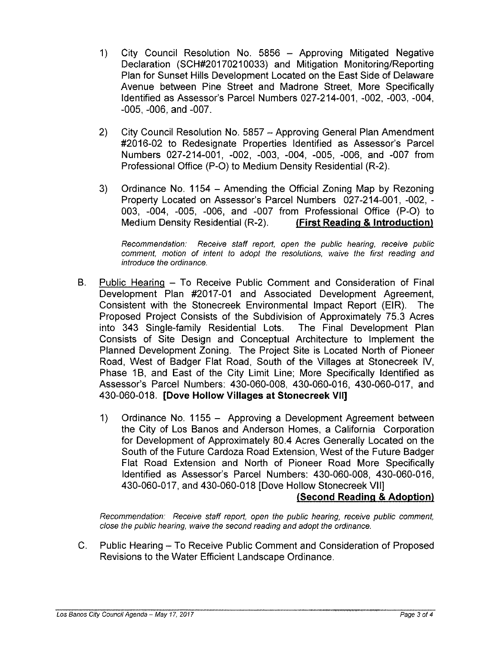- 1) City Council Resolution No. 5856 Approving Mitigated Negative Declaration (SCH#20170210033) and Mitigation Monitoring/Reporting Plan for Sunset Hills Development Located on the East Side of Delaware Avenue between Pine Street and Madrone Street, More Specifically Identified as Assessor's Parcel Numbers 027-214-001, -002, -003, -004, -005, -006, and -007.
- 2) City Council Resolution No. 5857 Approving General Plan Amendment #2016-02 to Redesignate Properties Identified as Assessor's Parcel Numbers 027-214-001, -002, -003, -004, -005, -006, and -007 from Professional Office (P-O) to Medium Density Residential (R-2).
- 3) Ordinance No. 1154 Amending the Official Zoning Map by Rezoning Property Located on Assessor's Parcel Numbers 027-214-001, -002, - 003, -004, -005, -006, and -007 from Professional Office (P-O) to Medium Density Residential (R-2). **(First Reading & Introduction)**

Recommendation: Receive staff report, open the public hearing, receive public comment, motion of intent to adopt the resolutions, waive the first reading and introduce the ordinance.

- B. Public Hearing To Receive Public Comment and Consideration of Final Development Plan #2017-01 and Associated Development Agreement, Consistent with the Stonecreek Environmental Impact Report (EIR). The Proposed Project Consists of the Subdivision of Approximately 75.3 Acres into 343 Single-family Residential Lots. The Final Development Plan Consists of Site Design and Conceptual Architecture to Implement the Planned Development Zoning. The Project Site is Located North of Pioneer Road, West of Badger Flat Road, South of the Villages at Stonecreek IV, Phase 1B, and East of the City Limit Line; More Specifically Identified as Assessor's Parcel Numbers: 430-060-008, 430-060-016, 430-060-017, and 430-060-018. **[Dove Hollow Villages at Stonecreek VII]**
	- 1) Ordinance No. 1155 Approving a Development Agreement between the City of Los Banos and Anderson Homes, a California Corporation for Development of Approximately 80.4 Acres Generally Located on the South of the Future Cardoza Road Extension, West of the Future Badger Flat Road Extension and North of Pioneer Road More Specifically Identified as Assessor's Parcel Numbers: 430-060-008, 430-060-016, 430-060-017, and 430-060-018 [Dove Hollow Stonecreek VII]

## **(Second Reading & Adoption)**

Recommendation: Receive staff report, open the public hearing, receive public comment close the public hearing, waive the second reading and adopt the ordinance.

C. Public Hearing - To Receive Public Comment and Consideration of Proposed Revisions to the Water Efficient Landscape Ordinance.